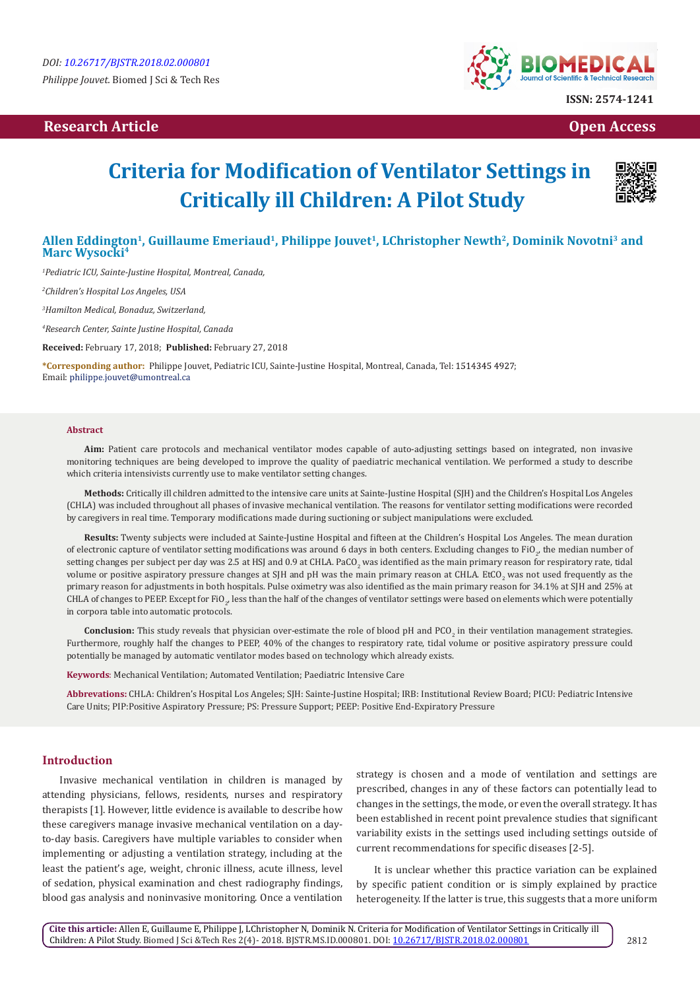# **Research Article Open Access Contract Article Open Access Open Access**



# **Criteria for Modification of Ventilator Settings in Critically ill Children: A Pilot Study**



# **Allen Eddington<sup>1</sup>, Guillaume Emeriaud<sup>1</sup>, Philippe Jouvet1, LChristopher Newth2, Dominik Novotni3 and Marc Wysocki<sup>4</sup>**

*1 Pediatric ICU, Sainte-Justine Hospital, Montreal, Canada,*

*2 Children's Hospital Los Angeles, USA*

*3 Hamilton Medical, Bonaduz, Switzerland,*

*4 Research Center, Sainte Justine Hospital, Canada*

**Received:** February 17, 2018; **Published:** February 27, 2018

**\*Corresponding author:** Philippe Jouvet, Pediatric ICU, Sainte-Justine Hospital, Montreal, Canada, Tel: ; Email: philippe.jouvet@umontreal.ca

#### **Abstract**

**Aim:** Patient care protocols and mechanical ventilator modes capable of auto-adjusting settings based on integrated, non invasive monitoring techniques are being developed to improve the quality of paediatric mechanical ventilation. We performed a study to describe which criteria intensivists currently use to make ventilator setting changes.

**Methods:** Critically ill children admitted to the intensive care units at Sainte-Justine Hospital (SJH) and the Children's Hospital Los Angeles (CHLA) was included throughout all phases of invasive mechanical ventilation. The reasons for ventilator setting modifications were recorded by caregivers in real time. Temporary modifications made during suctioning or subject manipulations were excluded.

**Results:** Twenty subjects were included at Sainte-Justine Hospital and fifteen at the Children's Hospital Los Angeles. The mean duration of electronic capture of ventilator setting modifications was around 6 days in both centers. Excluding changes to FiO<sub>2</sub>, the median number of setting changes per subject per day was 2.5 at HSJ and 0.9 at CHLA. PaCO<sub>2</sub> was identified as the main primary reason for respiratory rate, tidal volume or positive aspiratory pressure changes at SJH and pH was the main primary reason at CHLA. EtCO<sub>2</sub> was not used frequently as the primary reason for adjustments in both hospitals. Pulse oximetry was also identified as the main primary reason for 34.1% at SJH and 25% at CHLA of changes to PEEP. Except for FiO $_{2^{\prime}}$  less than the half of the changes of ventilator settings were based on elements which were potentially in corpora table into automatic protocols.

**Conclusion:** This study reveals that physician over-estimate the role of blood pH and PCO<sub>2</sub> in their ventilation management strategies. Furthermore, roughly half the changes to PEEP, 40% of the changes to respiratory rate, tidal volume or positive aspiratory pressure could potentially be managed by automatic ventilator modes based on technology which already exists.

**Keywords**: Mechanical Ventilation; Automated Ventilation; Paediatric Intensive Care

**Abbrevations:** CHLA: Children's Hospital Los Angeles; SJH: Sainte-Justine Hospital; IRB: Institutional Review Board; PICU: Pediatric Intensive Care Units; PIP:Positive Aspiratory Pressure; PS: Pressure Support; PEEP: Positive End-Expiratory Pressure

#### **Introduction**

Invasive mechanical ventilation in children is managed by attending physicians, fellows, residents, nurses and respiratory therapists [1]. However, little evidence is available to describe how these caregivers manage invasive mechanical ventilation on a dayto-day basis. Caregivers have multiple variables to consider when implementing or adjusting a ventilation strategy, including at the least the patient's age, weight, chronic illness, acute illness, level of sedation, physical examination and chest radiography findings, blood gas analysis and noninvasive monitoring. Once a ventilation

strategy is chosen and a mode of ventilation and settings are prescribed, changes in any of these factors can potentially lead to changes in the settings, the mode, or even the overall strategy. It has been established in recent point prevalence studies that significant variability exists in the settings used including settings outside of current recommendations for specific diseases [2-5].

It is unclear whether this practice variation can be explained by specific patient condition or is simply explained by practice heterogeneity. If the latter is true, this suggests that a more uniform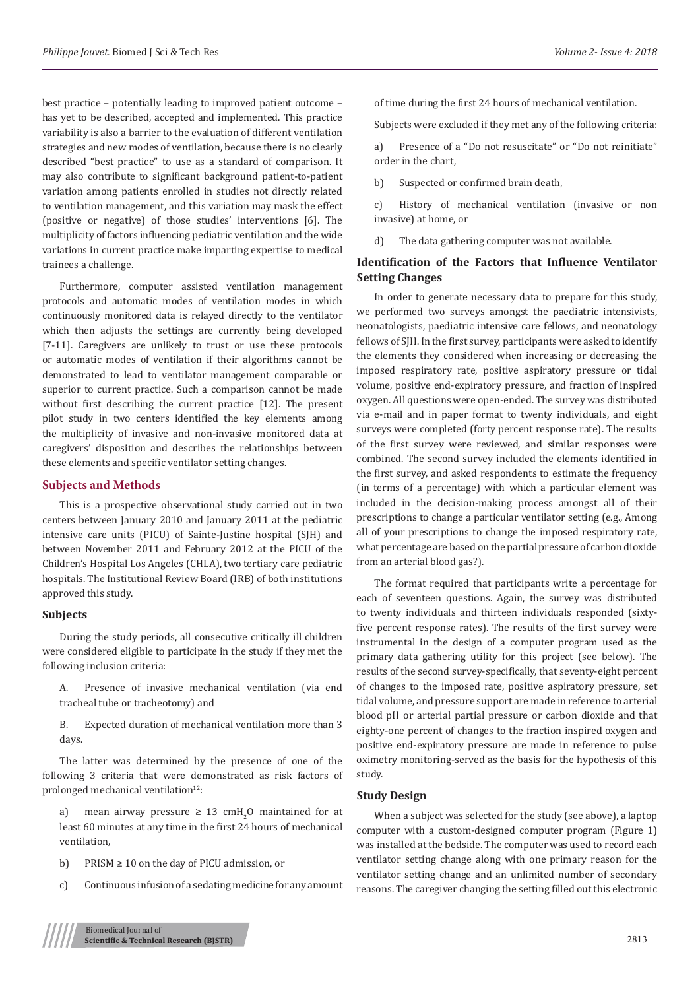best practice – potentially leading to improved patient outcome – has yet to be described, accepted and implemented. This practice variability is also a barrier to the evaluation of different ventilation strategies and new modes of ventilation, because there is no clearly described "best practice" to use as a standard of comparison. It may also contribute to significant background patient-to-patient variation among patients enrolled in studies not directly related to ventilation management, and this variation may mask the effect (positive or negative) of those studies' interventions [6]. The multiplicity of factors influencing pediatric ventilation and the wide variations in current practice make imparting expertise to medical trainees a challenge.

Furthermore, computer assisted ventilation management protocols and automatic modes of ventilation modes in which continuously monitored data is relayed directly to the ventilator which then adjusts the settings are currently being developed [7-11]. Caregivers are unlikely to trust or use these protocols or automatic modes of ventilation if their algorithms cannot be demonstrated to lead to ventilator management comparable or superior to current practice. Such a comparison cannot be made without first describing the current practice [12]. The present pilot study in two centers identified the key elements among the multiplicity of invasive and non-invasive monitored data at caregivers' disposition and describes the relationships between these elements and specific ventilator setting changes.

#### **Subjects and Methods**

This is a prospective observational study carried out in two centers between January 2010 and January 2011 at the pediatric intensive care units (PICU) of Sainte-Justine hospital (SJH) and between November 2011 and February 2012 at the PICU of the Children's Hospital Los Angeles (CHLA), two tertiary care pediatric hospitals. The Institutional Review Board (IRB) of both institutions approved this study.

#### **Subjects**

During the study periods, all consecutive critically ill children were considered eligible to participate in the study if they met the following inclusion criteria:

A. Presence of invasive mechanical ventilation (via end tracheal tube or tracheotomy) and

B. Expected duration of mechanical ventilation more than 3 days.

The latter was determined by the presence of one of the following 3 criteria that were demonstrated as risk factors of prolonged mechanical ventilation<sup>12</sup>:

a) mean airway pressure  $\geq 13$  cmH<sub>2</sub>O maintained for at least 60 minutes at any time in the first 24 hours of mechanical ventilation,

b) PRISM  $\geq 10$  on the day of PICU admission, or

c) Continuous infusion of a sedating medicine for any amount

of time during the first 24 hours of mechanical ventilation.

Subjects were excluded if they met any of the following criteria:

a) Presence of a "Do not resuscitate" or "Do not reinitiate" order in the chart,

b) Suspected or confirmed brain death,

c) History of mechanical ventilation (invasive or non invasive) at home, or

d) The data gathering computer was not available.

# **Identification of the Factors that Influence Ventilator Setting Changes**

In order to generate necessary data to prepare for this study, we performed two surveys amongst the paediatric intensivists, neonatologists, paediatric intensive care fellows, and neonatology fellows of SJH. In the first survey, participants were asked to identify the elements they considered when increasing or decreasing the imposed respiratory rate, positive aspiratory pressure or tidal volume, positive end-expiratory pressure, and fraction of inspired oxygen. All questions were open-ended. The survey was distributed via e-mail and in paper format to twenty individuals, and eight surveys were completed (forty percent response rate). The results of the first survey were reviewed, and similar responses were combined. The second survey included the elements identified in the first survey, and asked respondents to estimate the frequency (in terms of a percentage) with which a particular element was included in the decision-making process amongst all of their prescriptions to change a particular ventilator setting (e.g., Among all of your prescriptions to change the imposed respiratory rate, what percentage are based on the partial pressure of carbon dioxide from an arterial blood gas?).

The format required that participants write a percentage for each of seventeen questions. Again, the survey was distributed to twenty individuals and thirteen individuals responded (sixtyfive percent response rates). The results of the first survey were instrumental in the design of a computer program used as the primary data gathering utility for this project (see below). The results of the second survey-specifically, that seventy-eight percent of changes to the imposed rate, positive aspiratory pressure, set tidal volume, and pressure support are made in reference to arterial blood pH or arterial partial pressure or carbon dioxide and that eighty-one percent of changes to the fraction inspired oxygen and positive end-expiratory pressure are made in reference to pulse oximetry monitoring-served as the basis for the hypothesis of this study.

#### **Study Design**

When a subject was selected for the study (see above), a laptop computer with a custom-designed computer program (Figure 1) was installed at the bedside. The computer was used to record each ventilator setting change along with one primary reason for the ventilator setting change and an unlimited number of secondary reasons. The caregiver changing the setting filled out this electronic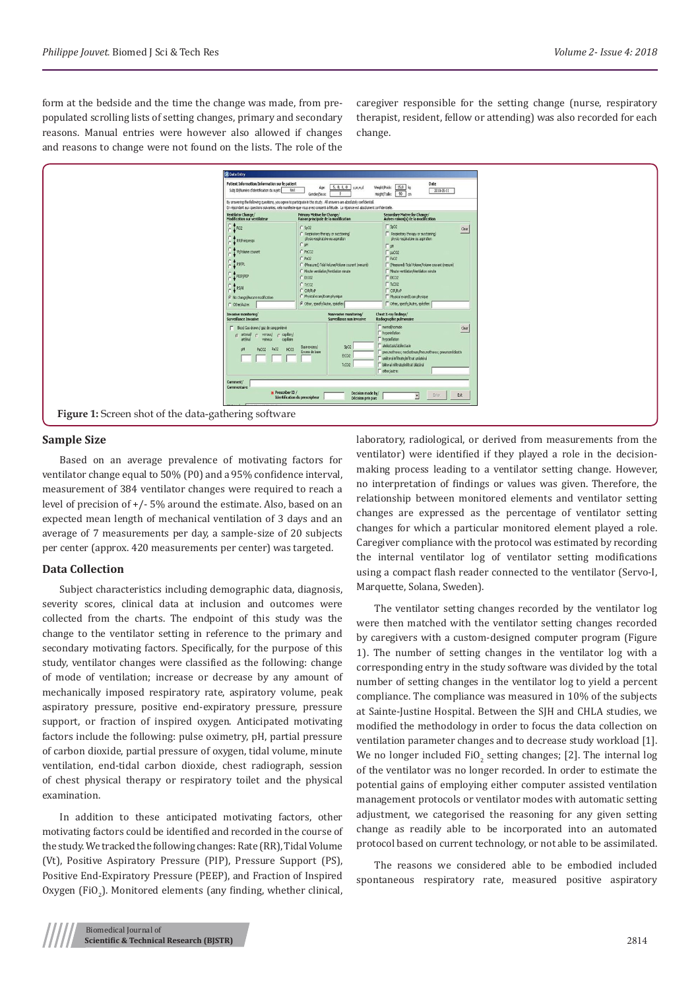form at the bedside and the time the change was made, from prepopulated scrolling lists of setting changes, primary and secondary reasons. Manual entries were however also allowed if changes and reasons to change were not found on the lists. The role of the

caregiver responsible for the setting change (nurse, respiratory therapist, resident, fellow or attending) was also recorded for each change.



#### **Sample Size**

Based on an average prevalence of motivating factors for ventilator change equal to 50% (P0) and a 95% confidence interval, measurement of 384 ventilator changes were required to reach a level of precision of +/- 5% around the estimate. Also, based on an expected mean length of mechanical ventilation of 3 days and an average of 7 measurements per day, a sample-size of 20 subjects per center (approx. 420 measurements per center) was targeted.

## **Data Collection**

Subject characteristics including demographic data, diagnosis, severity scores, clinical data at inclusion and outcomes were collected from the charts. The endpoint of this study was the change to the ventilator setting in reference to the primary and secondary motivating factors. Specifically, for the purpose of this study, ventilator changes were classified as the following: change of mode of ventilation; increase or decrease by any amount of mechanically imposed respiratory rate, aspiratory volume, peak aspiratory pressure, positive end-expiratory pressure, pressure support, or fraction of inspired oxygen. Anticipated motivating factors include the following: pulse oximetry, pH, partial pressure of carbon dioxide, partial pressure of oxygen, tidal volume, minute ventilation, end-tidal carbon dioxide, chest radiograph, session of chest physical therapy or respiratory toilet and the physical examination.

In addition to these anticipated motivating factors, other motivating factors could be identified and recorded in the course of the study. We tracked the following changes: Rate (RR), Tidal Volume (Vt), Positive Aspiratory Pressure (PIP), Pressure Support (PS), Positive End-Expiratory Pressure (PEEP), and Fraction of Inspired Oxygen (FiO<sub>2</sub>). Monitored elements (any finding, whether clinical, laboratory, radiological, or derived from measurements from the ventilator) were identified if they played a role in the decisionmaking process leading to a ventilator setting change. However, no interpretation of findings or values was given. Therefore, the relationship between monitored elements and ventilator setting changes are expressed as the percentage of ventilator setting changes for which a particular monitored element played a role. Caregiver compliance with the protocol was estimated by recording the internal ventilator log of ventilator setting modifications using a compact flash reader connected to the ventilator (Servo-I, Marquette, Solana, Sweden).

The ventilator setting changes recorded by the ventilator log were then matched with the ventilator setting changes recorded by caregivers with a custom-designed computer program (Figure 1). The number of setting changes in the ventilator log with a corresponding entry in the study software was divided by the total number of setting changes in the ventilator log to yield a percent compliance. The compliance was measured in 10% of the subjects at Sainte-Justine Hospital. Between the SJH and CHLA studies, we modified the methodology in order to focus the data collection on ventilation parameter changes and to decrease study workload [1]. We no longer included  $FiO_2$  setting changes; [2]. The internal log of the ventilator was no longer recorded. In order to estimate the potential gains of employing either computer assisted ventilation management protocols or ventilator modes with automatic setting adjustment, we categorised the reasoning for any given setting change as readily able to be incorporated into an automated protocol based on current technology, or not able to be assimilated.

The reasons we considered able to be embodied included spontaneous respiratory rate, measured positive aspiratory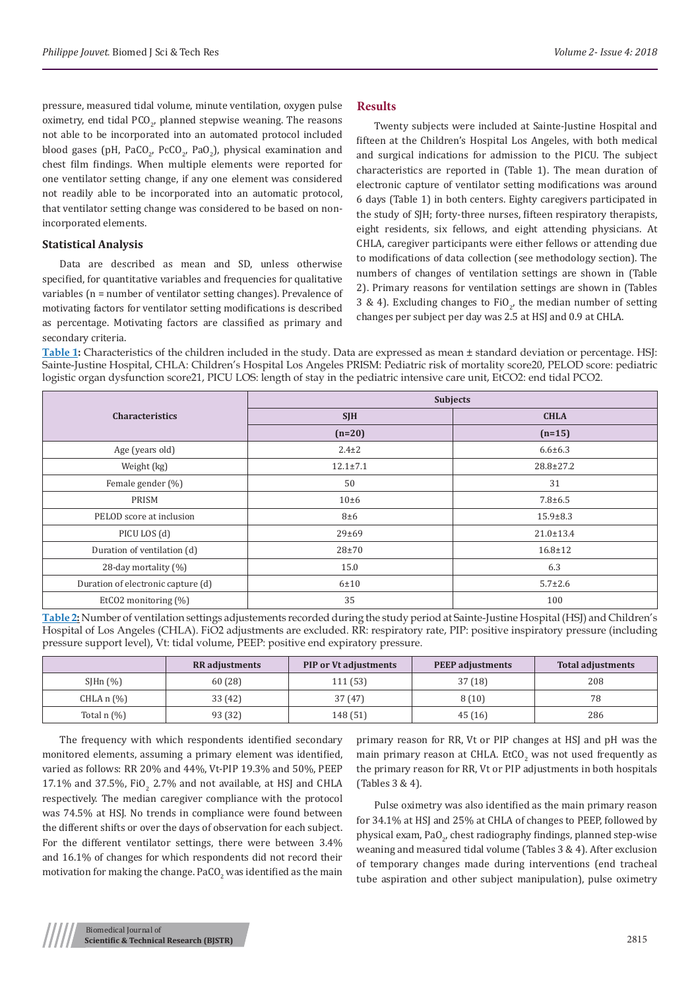pressure, measured tidal volume, minute ventilation, oxygen pulse oximetry, end tidal  $PGO_{2'}$  planned stepwise weaning. The reasons not able to be incorporated into an automated protocol included blood gases (pH, PaCO<sub>2</sub>, PcCO<sub>2</sub>, PaO<sub>2</sub>), physical examination and chest film findings. When multiple elements were reported for one ventilator setting change, if any one element was considered not readily able to be incorporated into an automatic protocol, that ventilator setting change was considered to be based on nonincorporated elements.

#### **Statistical Analysis**

Data are described as mean and SD, unless otherwise specified, for quantitative variables and frequencies for qualitative variables (n = number of ventilator setting changes). Prevalence of motivating factors for ventilator setting modifications is described as percentage. Motivating factors are classified as primary and secondary criteria.

## **Results**

Twenty subjects were included at Sainte-Justine Hospital and fifteen at the Children's Hospital Los Angeles, with both medical and surgical indications for admission to the PICU. The subject characteristics are reported in (Table 1). The mean duration of electronic capture of ventilator setting modifications was around 6 days (Table 1) in both centers. Eighty caregivers participated in the study of SJH; forty-three nurses, fifteen respiratory therapists, eight residents, six fellows, and eight attending physicians. At CHLA, caregiver participants were either fellows or attending due to modifications of data collection (see methodology section). The numbers of changes of ventilation settings are shown in (Table 2). Primary reasons for ventilation settings are shown in (Tables 3 & 4). Excluding changes to FiO<sub>2</sub>, the median number of setting changes per subject per day was 2.5 at HSJ and 0.9 at CHLA.

**Table 1:** Characteristics of the children included in the study. Data are expressed as mean ± standard deviation or percentage. HSJ: Sainte-Justine Hospital, CHLA: Children's Hospital Los Angeles PRISM: Pediatric risk of mortality score20, PELOD score: pediatric logistic organ dysfunction score21, PICU LOS: length of stay in the pediatric intensive care unit, EtCO2: end tidal PCO2.

|                                    | <b>Subjects</b> |                 |  |
|------------------------------------|-----------------|-----------------|--|
| <b>Characteristics</b>             | <b>SJH</b>      | <b>CHLA</b>     |  |
|                                    | $(n=20)$        | $(n=15)$        |  |
| Age (years old)                    | $2.4 \pm 2$     | $6.6 \pm 6.3$   |  |
| Weight (kg)                        | $12.1 \pm 7.1$  | $28.8 \pm 27.2$ |  |
| Female gender (%)                  | 50              | 31              |  |
| PRISM                              | $10\pm 6$       | $7.8 + 6.5$     |  |
| PELOD score at inclusion           | $8\pm 6$        | $15.9 \pm 8.3$  |  |
| PICU LOS (d)                       | 29±69           | $21.0 \pm 13.4$ |  |
| Duration of ventilation (d)        | $28 + 70$       | $16.8 \pm 12$   |  |
| 28-day mortality (%)               | 15.0            | 6.3             |  |
| Duration of electronic capture (d) | 6±10            | $5.7 \pm 2.6$   |  |
| EtCO2 monitoring $(\%)$            | 35              | 100             |  |

**Table 2:** Number of ventilation settings adjustements recorded during the study period at Sainte-Justine Hospital (HSJ) and Children's Hospital of Los Angeles (CHLA). FiO2 adjustments are excluded. RR: respiratory rate, PIP: positive inspiratory pressure (including pressure support level), Vt: tidal volume, PEEP: positive end expiratory pressure.

|                  | <b>RR</b> adjustments | <b>PIP or Vt adjustments</b> | <b>PEEP</b> adjustments | <b>Total adjustments</b> |
|------------------|-----------------------|------------------------------|-------------------------|--------------------------|
| $SIHn$ $(\% )$   | 60 (28)               | 111 (53)                     | 37 (18)                 | 208                      |
| $CHLA n (\%)$    | 33 (42)               | 37(47)                       | 8(10)                   | 78                       |
| Total $n$ $(\%)$ | 93 (32)               | 148 (51)                     | 45(16)                  | 286                      |

The frequency with which respondents identified secondary monitored elements, assuming a primary element was identified, varied as follows: RR 20% and 44%, Vt-PIP 19.3% and 50%, PEEP  $17.1\%$  and  $37.5\%$ , FiO<sub>2</sub> 2.7% and not available, at HSJ and CHLA respectively. The median caregiver compliance with the protocol was 74.5% at HSJ. No trends in compliance were found between the different shifts or over the days of observation for each subject. For the different ventilator settings, there were between 3.4% and 16.1% of changes for which respondents did not record their motivation for making the change. PaCO $_2$  was identified as the main primary reason for RR, Vt or PIP changes at HSJ and pH was the main primary reason at CHLA. EtCO<sub>2</sub> was not used frequently as the primary reason for RR, Vt or PIP adjustments in both hospitals (Tables 3 & 4).

Pulse oximetry was also identified as the main primary reason for 34.1% at HSJ and 25% at CHLA of changes to PEEP, followed by physical exam, Pa $0_{\rm_{2^{\prime}}}$  chest radiography findings, planned step-wise weaning and measured tidal volume (Tables 3 & 4). After exclusion of temporary changes made during interventions (end tracheal tube aspiration and other subject manipulation), pulse oximetry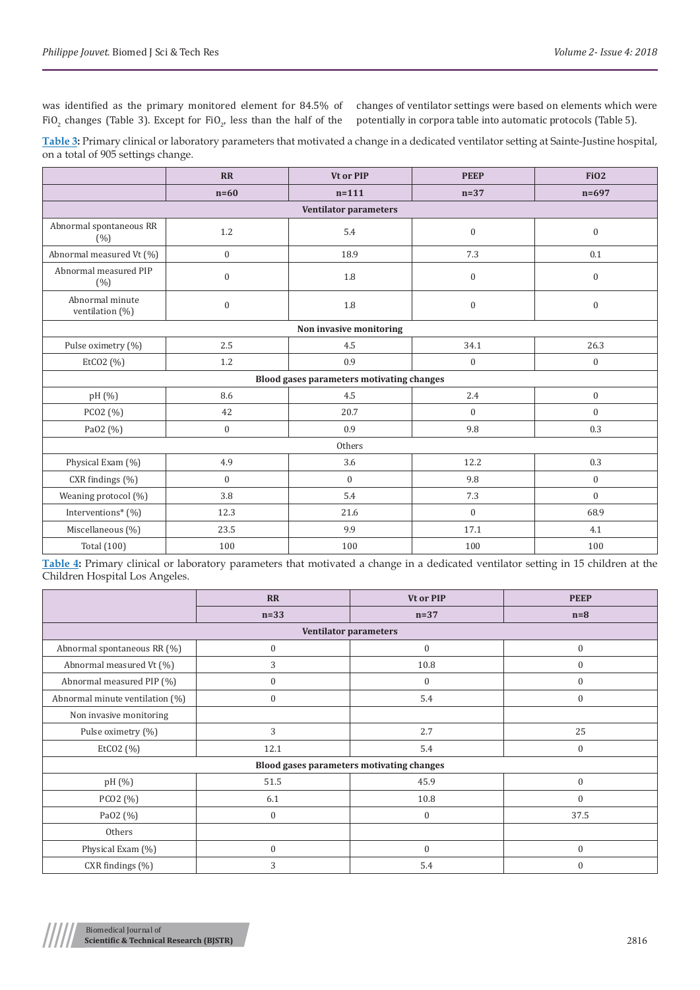was identified as the primary monitored element for 84.5% of FiO<sub>2</sub> changes (Table 3). Except for FiO<sub>2</sub>, less than the half of the

changes of ventilator settings were based on elements which were potentially in corpora table into automatic protocols (Table 5).

**Table 3:** Primary clinical or laboratory parameters that motivated a change in a dedicated ventilator setting at Sainte-Justine hospital, on a total of 905 settings change.

|                                           | RR               | Vt or PIP                    | <b>PEEP</b>      | <b>FiO2</b>      |
|-------------------------------------------|------------------|------------------------------|------------------|------------------|
|                                           | $n=60$           | $n = 111$                    | $n=37$           | $n = 697$        |
|                                           |                  | <b>Ventilator parameters</b> |                  |                  |
| Abnormal spontaneous RR<br>(%)            | 1.2              | 5.4                          | $\boldsymbol{0}$ | $\boldsymbol{0}$ |
| Abnormal measured Vt (%)                  | $\boldsymbol{0}$ | 18.9                         | 7.3              | 0.1              |
| Abnormal measured PIP<br>(% )             | $\boldsymbol{0}$ | 1.8                          | $\boldsymbol{0}$ | $\overline{0}$   |
| Abnormal minute<br>ventilation (%)        | $\mathbf{0}$     | 1.8                          | $\boldsymbol{0}$ | $\boldsymbol{0}$ |
|                                           |                  | Non invasive monitoring      |                  |                  |
| Pulse oximetry (%)                        | 2.5              | 4.5                          | 34.1             | 26.3             |
| EtCO2 (%)                                 | 1.2              | 0.9                          | $\mathbf{0}$     | $\boldsymbol{0}$ |
| Blood gases parameters motivating changes |                  |                              |                  |                  |
| pH (%)                                    | 8.6              | 4.5                          | 2.4              | $\overline{0}$   |
| PCO2 (%)                                  | 42               | 20.7                         | $\mathbf{0}$     | $\overline{0}$   |
| Pa02 (%)                                  | $\mathbf{0}$     | 0.9                          | 9.8              | 0.3              |
| Others                                    |                  |                              |                  |                  |
| Physical Exam (%)                         | 4.9              | 3.6                          | 12.2             | 0.3              |
| CXR findings (%)                          | $\theta$         | $\overline{0}$               | 9.8              | $\overline{0}$   |
| Weaning protocol (%)                      | 3.8              | 5.4                          | 7.3              | $\overline{0}$   |
| Interventions* (%)                        | 12.3             | 21.6                         | $\mathbf{0}$     | 68.9             |
| Miscellaneous (%)                         | 23.5             | 9.9                          | 17.1             | 4.1              |
| <b>Total</b> (100)                        | 100              | 100                          | 100              | 100              |

**Table 4:** Primary clinical or laboratory parameters that motivated a change in a dedicated ventilator setting in 15 children at the Children Hospital Los Angeles.

|                                           | <b>RR</b>        | Vt or PIP        | <b>PEEP</b>      |
|-------------------------------------------|------------------|------------------|------------------|
|                                           | $n=33$           | $n=37$           | $n=8$            |
| <b>Ventilator parameters</b>              |                  |                  |                  |
| Abnormal spontaneous RR (%)               | $\boldsymbol{0}$ | $\boldsymbol{0}$ | $\boldsymbol{0}$ |
| Abnormal measured Vt (%)                  | 3                | 10.8             | $\mathbf{0}$     |
| Abnormal measured PIP (%)                 | $\boldsymbol{0}$ | $\mathbf{0}$     | $\mathbf{0}$     |
| Abnormal minute ventilation (%)           | $\boldsymbol{0}$ | 5.4              | $\mathbf{0}$     |
| Non invasive monitoring                   |                  |                  |                  |
| Pulse oximetry (%)                        | 3                | 2.7              | 25               |
| EtCO2 $(%)$                               | 12.1             | 5.4              | $\overline{0}$   |
| Blood gases parameters motivating changes |                  |                  |                  |
| pH (%)                                    | 51.5             | 45.9             | $\Omega$         |
| PCO <sub>2</sub> (%)                      | 6.1              | 10.8             | $\mathbf{0}$     |
| PaO2 (%)                                  | $\mathbf{0}$     | $\boldsymbol{0}$ | 37.5             |
| Others                                    |                  |                  |                  |
| Physical Exam (%)                         | $\boldsymbol{0}$ | $\mathbf{0}$     | $\mathbf{0}$     |
| CXR findings (%)                          | 3                | 5.4              | $\theta$         |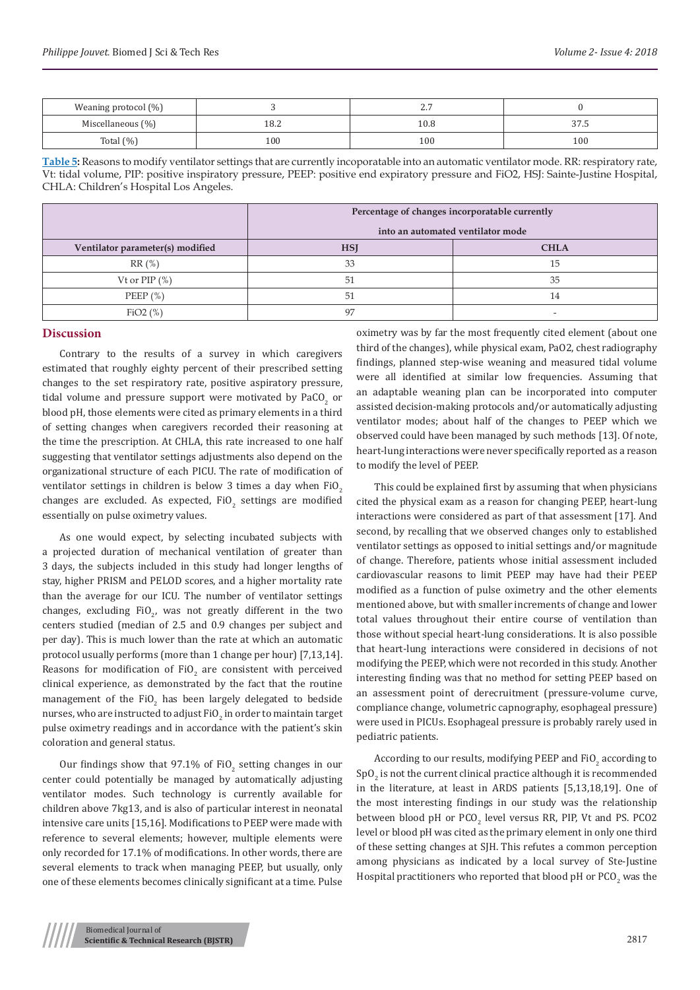| Weaning protocol (%) |      | $\overline{ }$<br>، ، ، |        |
|----------------------|------|-------------------------|--------|
| Miscellaneous (%)    | 18.2 | $10.8\,$                | ن. ، ن |
| Total $(\%)$         | 100  | 100                     | 100    |

**Table 5:** Reasons to modify ventilator settings that are currently incoporatable into an automatic ventilator mode. RR: respiratory rate, Vt: tidal volume, PIP: positive inspiratory pressure, PEEP: positive end expiratory pressure and FiO2, HSJ: Sainte-Justine Hospital, CHLA: Children's Hospital Los Angeles.

|                                  | Percentage of changes incorporatable currently |             |  |
|----------------------------------|------------------------------------------------|-------------|--|
|                                  | into an automated ventilator mode              |             |  |
| Ventilator parameter(s) modified | <b>HSI</b>                                     | <b>CHLA</b> |  |
| RR(%)                            | 33                                             | 15          |  |
| Vt or $PIP$ $(\%)$               | 51                                             | 35          |  |
| PEEP $(\%)$                      | 51                                             | 14          |  |
| FiO2(%)                          | 97                                             |             |  |

## **Discussion**

Contrary to the results of a survey in which caregivers estimated that roughly eighty percent of their prescribed setting changes to the set respiratory rate, positive aspiratory pressure, tidal volume and pressure support were motivated by  $\text{PaCO}_2$  or blood pH, those elements were cited as primary elements in a third of setting changes when caregivers recorded their reasoning at the time the prescription. At CHLA, this rate increased to one half suggesting that ventilator settings adjustments also depend on the organizational structure of each PICU. The rate of modification of ventilator settings in children is below 3 times a day when FiO<sub>2</sub> changes are excluded. As expected,  $\text{FiO}_2$  settings are modified essentially on pulse oximetry values.

As one would expect, by selecting incubated subjects with a projected duration of mechanical ventilation of greater than 3 days, the subjects included in this study had longer lengths of stay, higher PRISM and PELOD scores, and a higher mortality rate than the average for our ICU. The number of ventilator settings changes, excluding  $FiO<sub>2</sub>$ , was not greatly different in the two centers studied (median of 2.5 and 0.9 changes per subject and per day). This is much lower than the rate at which an automatic protocol usually performs (more than 1 change per hour) [7,13,14]. Reasons for modification of  $FiO_2$  are consistent with perceived clinical experience, as demonstrated by the fact that the routine management of the FiO<sub>2</sub> has been largely delegated to bedside nurses, who are instructed to adjust  $\mathrm{FiO}_2$  in order to maintain target pulse oximetry readings and in accordance with the patient's skin coloration and general status.

Our findings show that  $97.1\%$  of FiO<sub>2</sub> setting changes in our center could potentially be managed by automatically adjusting ventilator modes. Such technology is currently available for children above 7kg13, and is also of particular interest in neonatal intensive care units [15,16]. Modifications to PEEP were made with reference to several elements; however, multiple elements were only recorded for 17.1% of modifications. In other words, there are several elements to track when managing PEEP, but usually, only one of these elements becomes clinically significant at a time. Pulse

oximetry was by far the most frequently cited element (about one third of the changes), while physical exam, PaO2, chest radiography findings, planned step-wise weaning and measured tidal volume were all identified at similar low frequencies. Assuming that an adaptable weaning plan can be incorporated into computer assisted decision-making protocols and/or automatically adjusting ventilator modes; about half of the changes to PEEP which we observed could have been managed by such methods [13]. Of note, heart-lung interactions were never specifically reported as a reason to modify the level of PEEP.

This could be explained first by assuming that when physicians cited the physical exam as a reason for changing PEEP, heart-lung interactions were considered as part of that assessment [17]. And second, by recalling that we observed changes only to established ventilator settings as opposed to initial settings and/or magnitude of change. Therefore, patients whose initial assessment included cardiovascular reasons to limit PEEP may have had their PEEP modified as a function of pulse oximetry and the other elements mentioned above, but with smaller increments of change and lower total values throughout their entire course of ventilation than those without special heart-lung considerations. It is also possible that heart-lung interactions were considered in decisions of not modifying the PEEP, which were not recorded in this study. Another interesting finding was that no method for setting PEEP based on an assessment point of derecruitment (pressure-volume curve, compliance change, volumetric capnography, esophageal pressure) were used in PICUs. Esophageal pressure is probably rarely used in pediatric patients.

According to our results, modifying PEEP and FiO<sub>2</sub> according to  $\mathop{\mathrm {Sp}}\nolimits \mathrm {O}_2$  is not the current clinical practice although it is recommended in the literature, at least in ARDS patients [5,13,18,19]. One of the most interesting findings in our study was the relationship between blood pH or  $PCO_2$  level versus RR, PIP, Vt and PS. PCO2 level or blood pH was cited as the primary element in only one third of these setting changes at SJH. This refutes a common perception among physicians as indicated by a local survey of Ste-Justine Hospital practitioners who reported that blood pH or  $\mathsf{PCO}_2$  was the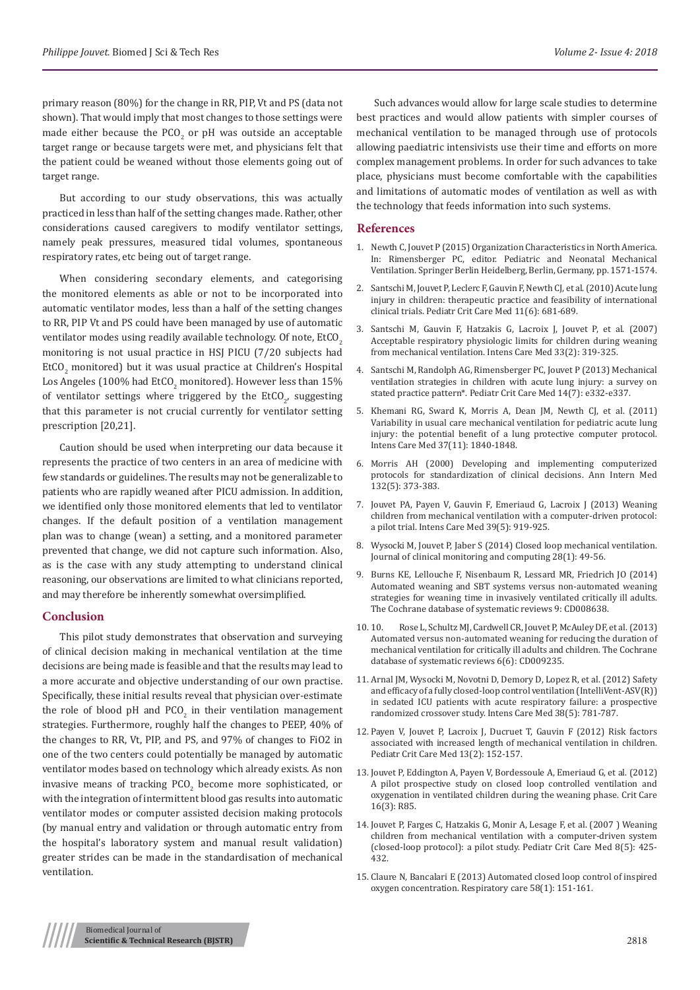primary reason (80%) for the change in RR, PIP, Vt and PS (data not shown). That would imply that most changes to those settings were made either because the PCO<sub>2</sub> or pH was outside an acceptable target range or because targets were met, and physicians felt that the patient could be weaned without those elements going out of target range.

But according to our study observations, this was actually practiced in less than half of the setting changes made. Rather, other considerations caused caregivers to modify ventilator settings, namely peak pressures, measured tidal volumes, spontaneous respiratory rates, etc being out of target range.

When considering secondary elements, and categorising the monitored elements as able or not to be incorporated into automatic ventilator modes, less than a half of the setting changes to RR, PIP Vt and PS could have been managed by use of automatic ventilator modes using readily available technology. Of note, EtCO<sub>2</sub> monitoring is not usual practice in HSJ PICU (7/20 subjects had  $\text{EtCO}_2$  monitored) but it was usual practice at Children's Hospital Los Angeles (100% had  $\rm EUC_2$  monitored). However less than 15% of ventilator settings where triggered by the  $\mathop{\rm E}$ t ${\rm U}_2$ , suggesting that this parameter is not crucial currently for ventilator setting prescription [20,21].

Caution should be used when interpreting our data because it represents the practice of two centers in an area of medicine with few standards or guidelines. The results may not be generalizable to patients who are rapidly weaned after PICU admission. In addition, we identified only those monitored elements that led to ventilator changes. If the default position of a ventilation management plan was to change (wean) a setting, and a monitored parameter prevented that change, we did not capture such information. Also, as is the case with any study attempting to understand clinical reasoning, our observations are limited to what clinicians reported, and may therefore be inherently somewhat oversimplified.

#### **Conclusion**

This pilot study demonstrates that observation and surveying of clinical decision making in mechanical ventilation at the time decisions are being made is feasible and that the results may lead to a more accurate and objective understanding of our own practise. Specifically, these initial results reveal that physician over-estimate the role of blood pH and  $PCO<sub>2</sub>$  in their ventilation management strategies. Furthermore, roughly half the changes to PEEP, 40% of the changes to RR, Vt, PIP, and PS, and 97% of changes to FiO2 in one of the two centers could potentially be managed by automatic ventilator modes based on technology which already exists. As non invasive means of tracking  $PCO_2$  become more sophisticated, or with the integration of intermittent blood gas results into automatic ventilator modes or computer assisted decision making protocols (by manual entry and validation or through automatic entry from the hospital's laboratory system and manual result validation) greater strides can be made in the standardisation of mechanical ventilation.

Such advances would allow for large scale studies to determine best practices and would allow patients with simpler courses of mechanical ventilation to be managed through use of protocols allowing paediatric intensivists use their time and efforts on more complex management problems. In order for such advances to take place, physicians must become comfortable with the capabilities and limitations of automatic modes of ventilation as well as with the technology that feeds information into such systems.

#### **References**

- 1. Newth C, Jouvet P (2015) Organization Characteristics in North America. In: Rimensberger PC, editor. Pediatric and Neonatal Mechanical Ventilation. Springer Berlin Heidelberg, Berlin, Germany, pp. 1571-1574.
- 2. [Santschi M, Jouvet P, Leclerc F, Gauvin F, Newth CJ, et al. \(2010\) Acute lung](https://www.ncbi.nlm.nih.gov/pubmed/20228688) [injury in children: therapeutic practice and feasibility of international](https://www.ncbi.nlm.nih.gov/pubmed/20228688) [clinical trials. Pediatr Crit Care Med 11\(6\): 681-689.](https://www.ncbi.nlm.nih.gov/pubmed/20228688)
- 3. [Santschi M, Gauvin F, Hatzakis G, Lacroix J, Jouvet P, et al. \(2007\)](https://www.ncbi.nlm.nih.gov/pubmed/17063358) [Acceptable respiratory physiologic limits for children during weaning](https://www.ncbi.nlm.nih.gov/pubmed/17063358) [from mechanical ventilation. Intens Care Med 33\(2\): 319-325.](https://www.ncbi.nlm.nih.gov/pubmed/17063358)
- 4. [Santschi M, Randolph AG, Rimensberger PC, Jouvet P \(2013\) Mechanical](https://www.ncbi.nlm.nih.gov/pubmed/23842587) [ventilation strategies in children with acute lung injury: a survey on](https://www.ncbi.nlm.nih.gov/pubmed/23842587) [stated practice pattern\\*. Pediatr Crit Care Med 14\(7\): e332-e337.](https://www.ncbi.nlm.nih.gov/pubmed/23842587)
- 5. [Khemani RG, Sward K, Morris A, Dean JM, Newth CJ, et al. \(2011\)](https://www.ncbi.nlm.nih.gov/pubmed/21965099) [Variability in usual care mechanical ventilation for pediatric acute lung](https://www.ncbi.nlm.nih.gov/pubmed/21965099) [injury: the potential benefit of a lung protective computer protocol.](https://www.ncbi.nlm.nih.gov/pubmed/21965099) [Intens Care Med 37\(11\): 1840-1848.](https://www.ncbi.nlm.nih.gov/pubmed/21965099)
- 6. [Morris AH \(2000\) Developing and implementing computerized](https://www.ncbi.nlm.nih.gov/pubmed/10691588) [protocols for standardization of clinical decisions. Ann Intern Med](https://www.ncbi.nlm.nih.gov/pubmed/10691588) [132\(5\): 373-383.](https://www.ncbi.nlm.nih.gov/pubmed/10691588)
- 7. [Jouvet PA, Payen V, Gauvin F, Emeriaud G, Lacroix J \(2013\) Weaning](https://www.ncbi.nlm.nih.gov/pubmed/23361631) [children from mechanical ventilation with a computer-driven protocol:](https://www.ncbi.nlm.nih.gov/pubmed/23361631) [a pilot trial. Intens Care Med 39\(5\): 919-925.](https://www.ncbi.nlm.nih.gov/pubmed/23361631)
- 8. [Wysocki M, Jouvet P, Jaber S \(2014\) Closed loop mechanical ventilation.](https://link.springer.com/article/10.1007/s10877-013-9465-2) [Journal of clinical monitoring and computing 28\(1\): 49-56.](https://link.springer.com/article/10.1007/s10877-013-9465-2)
- 9. [Burns KE, Lellouche F, Nisenbaum R, Lessard MR, Friedrich JO \(2014\)](https://www.ncbi.nlm.nih.gov/pubmed/25203308) [Automated weaning and SBT systems versus non-automated weaning](https://www.ncbi.nlm.nih.gov/pubmed/25203308) [strategies for weaning time in invasively ventilated critically ill adults.](https://www.ncbi.nlm.nih.gov/pubmed/25203308) [The Cochrane database of systematic reviews 9: CD008638.](https://www.ncbi.nlm.nih.gov/pubmed/25203308)
- 10. 10. [Rose L, Schultz MJ, Cardwell CR, Jouvet P, McAuley DF, et al. \(2013\)](https://www.ncbi.nlm.nih.gov/pubmed/23740737) [Automated versus non-automated weaning for reducing the duration of](https://www.ncbi.nlm.nih.gov/pubmed/23740737) [mechanical ventilation for critically ill adults and children. The Cochrane](https://www.ncbi.nlm.nih.gov/pubmed/23740737) [database of systematic reviews 6\(6\): CD009235.](https://www.ncbi.nlm.nih.gov/pubmed/23740737)
- 11. [Arnal JM, Wysocki M, Novotni D, Demory D, Lopez R, et al. \(2012\) Safety](https://www.ncbi.nlm.nih.gov/pubmed/22460854) [and efficacy of a fully closed-loop control ventilation \(IntelliVent-ASV\(R\)\)](https://www.ncbi.nlm.nih.gov/pubmed/22460854) [in sedated ICU patients with acute respiratory failure: a prospective](https://www.ncbi.nlm.nih.gov/pubmed/22460854) [randomized crossover study. Intens Care Med 38\(5\): 781-787.](https://www.ncbi.nlm.nih.gov/pubmed/22460854)
- 12. [Payen V, Jouvet P, Lacroix J, Ducruet T, Gauvin F \(2012\) Risk factors](https://www.ncbi.nlm.nih.gov/pubmed/21760567) [associated with increased length of mechanical ventilation in children.](https://www.ncbi.nlm.nih.gov/pubmed/21760567) [Pediatr Crit Care Med 13\(2\): 152-157.](https://www.ncbi.nlm.nih.gov/pubmed/21760567)
- 13. [Jouvet P, Eddington A, Payen V, Bordessoule A, Emeriaud G, et al. \(2012\)](https://www.ncbi.nlm.nih.gov/pubmed/22591622/) [A pilot prospective study on closed loop controlled ventilation and](https://www.ncbi.nlm.nih.gov/pubmed/22591622/) [oxygenation in ventilated children during the weaning phase. Crit Care](https://www.ncbi.nlm.nih.gov/pubmed/22591622/) [16\(3\): R85.](https://www.ncbi.nlm.nih.gov/pubmed/22591622/)
- 14. [Jouvet P, Farges C, Hatzakis G, Monir A, Lesage F, et al. \(2007 \) Weaning](https://www.ncbi.nlm.nih.gov/pubmed/17693913) [children from mechanical ventilation with a computer-driven system](https://www.ncbi.nlm.nih.gov/pubmed/17693913) [\(closed-loop protocol\): a pilot study. Pediatr Crit Care Med 8\(5\): 425-](https://www.ncbi.nlm.nih.gov/pubmed/17693913) [432.](https://www.ncbi.nlm.nih.gov/pubmed/17693913)
- 15. [Claure N, Bancalari E \(2013\) Automated closed loop control of inspired](https://www.ncbi.nlm.nih.gov/pubmed/23271825) [oxygen concentration. Respiratory care 58\(1\): 151-161.](https://www.ncbi.nlm.nih.gov/pubmed/23271825)